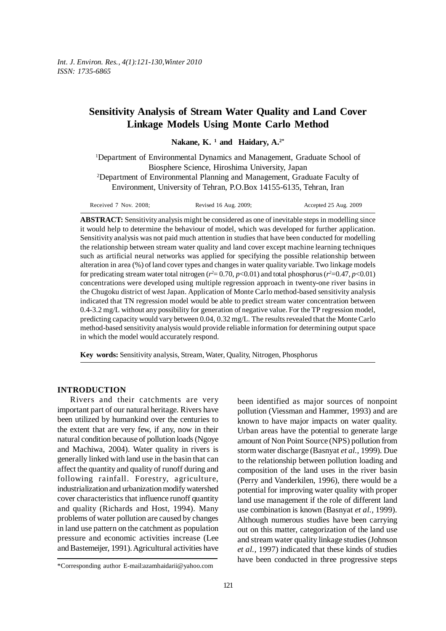# **Sensitivity Analysis of Stream Water Quality and Land Cover Linkage Models Using Monte Carlo Method**

Nakane, K.<sup>1</sup> and Haidary, A.<sup>2\*</sup>

<sup>1</sup>Department of Environmental Dynamics and Management, Graduate School of Biosphere Science, Hiroshima University, Japan

2 Department of Environmental Planning and Management, Graduate Faculty of Environment, University of Tehran, P.O.Box 14155-6135, Tehran, Iran

Received 7 Nov. 2008; Revised 16 Aug. 2009; Accepted 25 Aug. 2009

**ABSTRACT:** Sensitivity analysis might be considered as one of inevitable steps in modelling since it would help to determine the behaviour of model, which was developed for further application. Sensitivity analysis was not paid much attention in studies that have been conducted for modelling the relationship between stream water quality and land cover except machine learning techniques such as artificial neural networks was applied for specifying the possible relationship between alteration in area (%) of land cover types and changes in water quality variable. Two linkage models for predicating stream water total nitrogen  $(r^2 = 0.70, p < 0.01)$  and total phosphorus  $(r^2 = 0.47, p < 0.01)$ concentrations were developed using multiple regression approach in twenty-one river basins in the Chugoku district of west Japan. Application of Monte Carlo method-based sensitivity analysis indicated that TN regression model would be able to predict stream water concentration between 0.4-3.2 mg/L without any possibility for generation of negative value. For the TP regression model, predicting capacity would vary between 0.04, 0.32 mg/L. The results revealed that the Monte Carlo method-based sensitivity analysis would provide reliable information for determining output space in which the model would accurately respond.

**Key words:** Sensitivity analysis, Stream, Water, Quality, Nitrogen, Phosphorus

## **INTRODUCTION**

Rivers and their catchments are very important part of our natural heritage. Rivers have been utilized by humankind over the centuries to the extent that are very few, if any, now in their natural condition because of pollution loads (Ngoye and Machiwa, 2004). Water quality in rivers is generally linked with land use in the basin that can affect the quantity and quality of runoff during and following rainfall. Forestry, agriculture, industrialization and urbanization modify watershed cover characteristics that influence runoff quantity and quality (Richards and Host, 1994). Many problems of water pollution are caused by changes in land use pattern on the catchment as population pressure and economic activities increase (Lee and Bastemeijer, 1991). Agricultural activities have

been identified as major sources of nonpoint pollution (Viessman and Hammer, 1993) and are known to have major impacts on water quality. Urban areas have the potential to generate large amount of Non Point Source (NPS) pollution from storm water discharge (Basnyat *et al.,* 1999). Due to the relationship between pollution loading and composition of the land uses in the river basin (Perry and Vanderkilen, 1996), there would be a potential for improving water quality with proper land use management if the role of different land use combination is known (Basnyat *et al.,* 1999). Although numerous studies have been carrying out on this matter, categorization of the land use and stream water quality linkage studies (Johnson *et al.,* 1997) indicated that these kinds of studies have been conducted in three progressive steps

<sup>\*</sup>Corresponding author E-mail:azamhaidarii@yahoo.com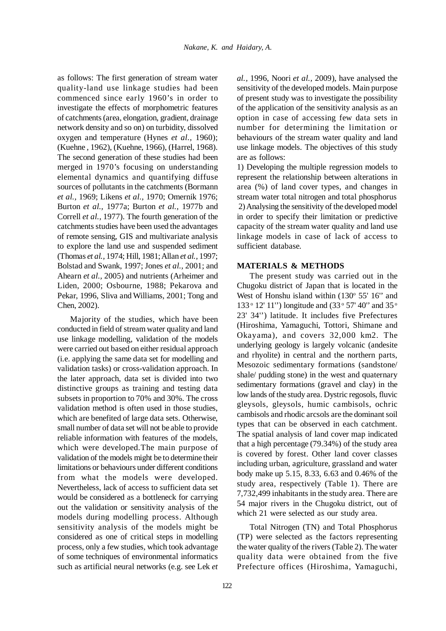as follows: The first generation of stream water quality-land use linkage studies had been commenced since early 1960's in order to investigate the effects of morphometric features of catchments (area, elongation, gradient, drainage network density and so on) on turbidity, dissolved oxygen and temperature (Hynes *et al.,* 1960); (Kuehne , 1962), (Kuehne, 1966), (Harrel, 1968). The second generation of these studies had been merged in 1970's focusing on understanding elemental dynamics and quantifying diffuse sources of pollutants in the catchments (Bormann *et al.,* 1969; Likens *et al.,* 1970; Omernik 1976; Burton *et al.,* 1977a; Burton *et al.,* 1977b and Correll *et al.,* 1977). The fourth generation of the catchments studies have been used the advantages of remote sensing, GIS and multivariate analysis to explore the land use and suspended sediment (Thomas *et al.,* 1974; Hill, 1981; Allan *et al.,* 1997; Bolstad and Swank, 1997; Jones *et al.,* 2001; and Ahearn *et al.,* 2005) and nutrients (Arheimer and Liden, 2000; Osbourne, 1988; Pekarova and Pekar, 1996, Sliva and Williams, 2001; Tong and Chen, 2002).

Majority of the studies, which have been conducted in field of stream water quality and land use linkage modelling, validation of the models were carried out based on either residual approach (i.e. applying the same data set for modelling and validation tasks) or cross-validation approach. In the later approach, data set is divided into two distinctive groups as training and testing data subsets in proportion to 70% and 30%. The cross validation method is often used in those studies, which are benefited of large data sets. Otherwise, small number of data set will not be able to provide reliable information with features of the models, which were developed.The main purpose of validation of the models might be to determine their limitations or behaviours under different conditions from what the models were developed. Nevertheless, lack of access to sufficient data set would be considered as a bottleneck for carrying out the validation or sensitivity analysis of the models during modelling process. Although sensitivity analysis of the models might be considered as one of critical steps in modelling process, only a few studies, which took advantage of some techniques of environmental informatics such as artificial neural networks (e.g. see Lek *et*

*al.,* 1996, Noori *et al.,* 2009), have analysed the sensitivity of the developed models. Main purpose of present study was to investigate the possibility of the application of the sensitivity analysis as an option in case of accessing few data sets in number for determining the limitation or behaviours of the stream water quality and land use linkage models. The objectives of this study are as follows:

1) Developing the multiple regression models to represent the relationship between alterations in area (%) of land cover types, and changes in stream water total nitrogen and total phosphorus 2) Analysing the sensitivity of the developed model in order to specify their limitation or predictive capacity of the stream water quality and land use linkage models in case of lack of access to sufficient database.

## **MATERIALS & METHODS**

The present study was carried out in the Chugoku district of Japan that is located in the West of Honshu island within (130° 55' 16" and 133 ° 12' 11") longitude and (33 ° 57' 40" and 35 ° 23' 34'') latitude. It includes five Prefectures (Hiroshima, Yamaguchi, Tottori, Shimane and Okayama), and covers 32,000 km2. The underlying geology is largely volcanic (andesite and rhyolite) in central and the northern parts, Mesozoic sedimentary formations (sandstone/ shale/ pudding stone) in the west and quaternary sedimentary formations (gravel and clay) in the low lands of the study area. Dystric regosols, fluvic gleysols, gleysols, humic cambisols, ochric cambisols and rhodic arcsols are the dominant soil types that can be observed in each catchment. The spatial analysis of land cover map indicated that a high percentage (79.34%) of the study area is covered by forest. Other land cover classes including urban, agriculture, grassland and water body make up 5.15, 8.33, 6.63 and 0.46% of the study area, respectively (Table 1). There are 7,732,499 inhabitants in the study area. There are 54 major rivers in the Chugoku district, out of which 21 were selected as our study area.

Total Nitrogen (TN) and Total Phosphorus (TP) were selected as the factors representing the water quality of the rivers (Table 2). The water quality data were obtained from the five Prefecture offices (Hiroshima, Yamaguchi,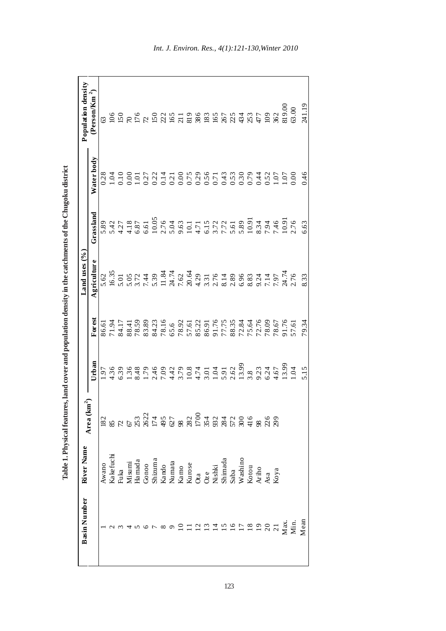| <b>Basin Number</b>                                | River Name                                                                                                                                                                                                                                                                                                                                                                                                               |                            |       |                                                    | Land uses $(%)$ |           |            | Population density                                                                              |
|----------------------------------------------------|--------------------------------------------------------------------------------------------------------------------------------------------------------------------------------------------------------------------------------------------------------------------------------------------------------------------------------------------------------------------------------------------------------------------------|----------------------------|-------|----------------------------------------------------|-----------------|-----------|------------|-------------------------------------------------------------------------------------------------|
|                                                    |                                                                                                                                                                                                                                                                                                                                                                                                                          | $\mathbf{km}^2$<br>Area (k | Urban | Forest                                             | Agriculture     | Grassland | Water body | $(PersonKm^2)$                                                                                  |
|                                                    |                                                                                                                                                                                                                                                                                                                                                                                                                          |                            |       |                                                    | 5.62            |           |            |                                                                                                 |
|                                                    |                                                                                                                                                                                                                                                                                                                                                                                                                          |                            |       |                                                    |                 |           |            |                                                                                                 |
|                                                    |                                                                                                                                                                                                                                                                                                                                                                                                                          |                            |       |                                                    |                 |           |            |                                                                                                 |
|                                                    |                                                                                                                                                                                                                                                                                                                                                                                                                          |                            |       |                                                    |                 |           |            |                                                                                                 |
|                                                    |                                                                                                                                                                                                                                                                                                                                                                                                                          |                            |       |                                                    |                 |           |            |                                                                                                 |
|                                                    |                                                                                                                                                                                                                                                                                                                                                                                                                          |                            |       |                                                    |                 |           |            |                                                                                                 |
|                                                    |                                                                                                                                                                                                                                                                                                                                                                                                                          |                            |       |                                                    |                 |           |            |                                                                                                 |
|                                                    | $\begin{array}{l} \displaystyle {\rm A w\,a\,no} \\ \displaystyle {\rm Ka\,l\,c\,in} \\ \displaystyle {\rm Fuka\,a\,a\,N\,is\,m\,a\,d\,a} \\ \displaystyle {\rm Hamada\,d\,o} \\ \displaystyle {\rm Gon\,oo} \\ \displaystyle {\rm S\,hiz\,in} \\ \displaystyle {\rm Ka\,not\,s\,b\,c\,N\,is\,i\,d\,d\,c} \\ \displaystyle {\rm Ka\,not\,s\,b\,N\,is\,i\,d\,d\,d\,d\,c} \\ \displaystyle {\rm Ku\,is\,ik\,i\,d\,N\,is\,$ |                            |       | 86.61<br>71.94<br>84.17<br>85.89<br>84.29<br>78.16 |                 |           |            |                                                                                                 |
|                                                    |                                                                                                                                                                                                                                                                                                                                                                                                                          |                            |       | 65.6                                               |                 |           |            |                                                                                                 |
|                                                    |                                                                                                                                                                                                                                                                                                                                                                                                                          |                            |       |                                                    |                 |           |            |                                                                                                 |
|                                                    |                                                                                                                                                                                                                                                                                                                                                                                                                          |                            |       |                                                    |                 |           |            |                                                                                                 |
|                                                    |                                                                                                                                                                                                                                                                                                                                                                                                                          |                            |       |                                                    |                 |           |            |                                                                                                 |
|                                                    |                                                                                                                                                                                                                                                                                                                                                                                                                          |                            |       |                                                    |                 |           |            |                                                                                                 |
| 0121156                                            |                                                                                                                                                                                                                                                                                                                                                                                                                          |                            |       |                                                    |                 |           |            |                                                                                                 |
|                                                    |                                                                                                                                                                                                                                                                                                                                                                                                                          |                            |       |                                                    |                 |           |            |                                                                                                 |
|                                                    |                                                                                                                                                                                                                                                                                                                                                                                                                          |                            |       |                                                    |                 |           |            |                                                                                                 |
|                                                    |                                                                                                                                                                                                                                                                                                                                                                                                                          |                            |       |                                                    |                 |           |            |                                                                                                 |
|                                                    |                                                                                                                                                                                                                                                                                                                                                                                                                          |                            |       |                                                    |                 |           |            |                                                                                                 |
|                                                    |                                                                                                                                                                                                                                                                                                                                                                                                                          |                            |       |                                                    |                 |           |            |                                                                                                 |
|                                                    |                                                                                                                                                                                                                                                                                                                                                                                                                          |                            |       |                                                    |                 |           |            |                                                                                                 |
|                                                    |                                                                                                                                                                                                                                                                                                                                                                                                                          |                            |       |                                                    |                 |           |            |                                                                                                 |
|                                                    |                                                                                                                                                                                                                                                                                                                                                                                                                          |                            |       |                                                    |                 |           |            |                                                                                                 |
| $\frac{18}{19}$ 20<br>$\frac{21}{18}$ Max.<br>Min. |                                                                                                                                                                                                                                                                                                                                                                                                                          |                            |       | $785885787778847695761$                            |                 |           |            | ទ ក្ដី មក ដូច អ្នក ដូច និង អ្នក ដូច អ្នក ដូច និ<br>និង មក ដូច អ្នក ដូច និង អ្នក ដូច និង ដូច និង |
| $M$ ean                                            |                                                                                                                                                                                                                                                                                                                                                                                                                          |                            | 515   | 79.34                                              |                 |           | 0.46       | 241.19                                                                                          |

Table 1. Physical features, land cover and population density in the catchments of the Chugoku district **Table 1. Physical features, land cover and population density in the catchments of the Chugoku district**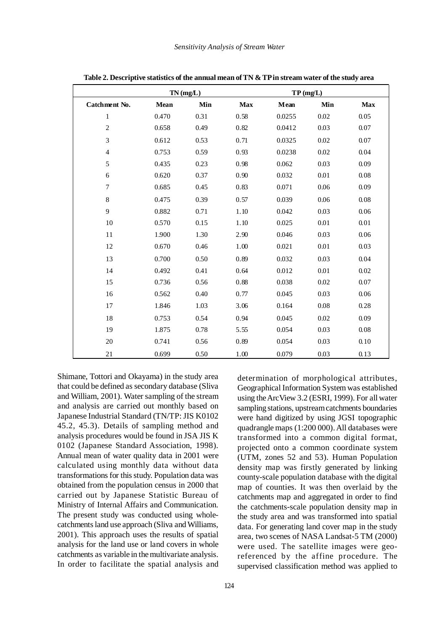|                  |             | TN(mg/L) |            |        | TP(mg/L) |            |
|------------------|-------------|----------|------------|--------|----------|------------|
| Catchment No.    | <b>Mean</b> | Min      | <b>Max</b> | Mean   | Min      | <b>Max</b> |
| $\mathbf{1}$     | 0.470       | 0.31     | 0.58       | 0.0255 | 0.02     | 0.05       |
| $\overline{2}$   | 0.658       | 0.49     | 0.82       | 0.0412 | 0.03     | 0.07       |
| 3                | 0.612       | 0.53     | 0.71       | 0.0325 | 0.02     | 0.07       |
| $\overline{4}$   | 0.753       | 0.59     | 0.93       | 0.0238 | 0.02     | 0.04       |
| 5                | 0.435       | 0.23     | 0.98       | 0.062  | 0.03     | 0.09       |
| 6                | 0.620       | 0.37     | 0.90       | 0.032  | 0.01     | 0.08       |
| $\boldsymbol{7}$ | 0.685       | 0.45     | 0.83       | 0.071  | 0.06     | 0.09       |
| $\,8\,$          | 0.475       | 0.39     | 0.57       | 0.039  | 0.06     | 0.08       |
| 9                | 0.882       | 0.71     | 1.10       | 0.042  | 0.03     | 0.06       |
| 10               | 0.570       | 0.15     | 1.10       | 0.025  | $0.01\,$ | 0.01       |
| 11               | 1.900       | 1.30     | 2.90       | 0.046  | 0.03     | 0.06       |
| 12               | 0.670       | 0.46     | 1.00       | 0.021  | 0.01     | 0.03       |
| 13               | 0.700       | 0.50     | 0.89       | 0.032  | 0.03     | 0.04       |
| 14               | 0.492       | 0.41     | 0.64       | 0.012  | 0.01     | 0.02       |
| 15               | 0.736       | 0.56     | 0.88       | 0.038  | 0.02     | 0.07       |
| 16               | 0.562       | 0.40     | 0.77       | 0.045  | 0.03     | 0.06       |
| 17               | 1.846       | 1.03     | 3.06       | 0.164  | 0.08     | 0.28       |
| 18               | 0.753       | 0.54     | 0.94       | 0.045  | 0.02     | 0.09       |
| 19               | 1.875       | 0.78     | 5.55       | 0.054  | 0.03     | 0.08       |
| 20               | 0.741       | 0.56     | 0.89       | 0.054  | 0.03     | 0.10       |
| 21               | 0.699       | 0.50     | 1.00       | 0.079  | 0.03     | 0.13       |

**Table 2. Descriptive statistics of the annual mean of TN & TP in stream water of the study area**

Shimane, Tottori and Okayama) in the study area that could be defined as secondary database (Sliva and William, 2001). Water sampling of the stream and analysis are carried out monthly based on Japanese Industrial Standard (TN/TP: JIS K0102 45.2, 45.3). Details of sampling method and analysis procedures would be found in JSA JIS K 0102 (Japanese Standard Association, 1998). Annual mean of water quality data in 2001 were calculated using monthly data without data transformations for this study. Population data was obtained from the population census in 2000 that carried out by Japanese Statistic Bureau of Ministry of Internal Affairs and Communication. The present study was conducted using wholecatchments land use approach (Sliva and Williams, 2001). This approach uses the results of spatial analysis for the land use or land covers in whole catchments as variable in the multivariate analysis. In order to facilitate the spatial analysis and

determination of morphological attributes, Geographical Information System was established using the ArcView 3.2 (ESRI, 1999). For all water sampling stations, upstream catchments boundaries were hand digitized by using JGSI topographic quadrangle maps (1:200 000). All databases were transformed into a common digital format, projected onto a common coordinate system (UTM, zones 52 and 53). Human Population density map was firstly generated by linking county-scale population database with the digital map of counties. It was then overlaid by the catchments map and aggregated in order to find the catchments-scale population density map in the study area and was transformed into spatial data. For generating land cover map in the study area, two scenes of NASA Landsat-5 TM (2000) were used. The satellite images were georeferenced by the affine procedure. The supervised classification method was applied to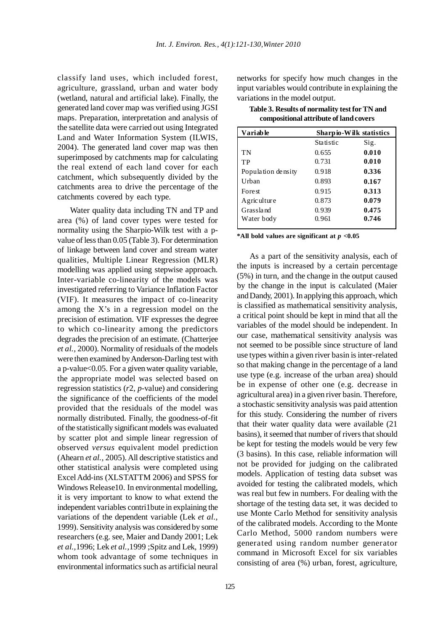classify land uses, which included forest, agriculture, grassland, urban and water body (wetland, natural and artificial lake). Finally, the generated land cover map was verified using JGSI maps. Preparation, interpretation and analysis of the satellite data were carried out using Integrated Land and Water Information System (ILWIS, 2004). The generated land cover map was then superimposed by catchments map for calculating the real extend of each land cover for each catchment, which subsequently divided by the catchments area to drive the percentage of the catchments covered by each type.

Water quality data including TN and TP and area (%) of land cover types were tested for normality using the Sharpio-Wilk test with a pvalue of less than 0.05 (Table 3). For determination of linkage between land cover and stream water qualities, Multiple Linear Regression (MLR) modelling was applied using stepwise approach. Inter-variable co-linearity of the models was investigated referring to Variance Inflation Factor (VIF). It measures the impact of co-linearity among the X's in a regression model on the precision of estimation. VIF expresses the degree to which co-linearity among the predictors degrades the precision of an estimate. (Chatterjee *et al.,* 2000). Normality of residuals of the models were then examined by Anderson-Darling test with a p-value<0.05. For a given water quality variable, the appropriate model was selected based on regression statistics (*r*2, *p*-value) and considering the significance of the coefficients of the model provided that the residuals of the model was normally distributed. Finally, the goodness-of-fit of the statistically significant models was evaluated by scatter plot and simple linear regression of observed *versus* equivalent model prediction (Ahearn *et al.,* 2005). All descriptive statistics and other statistical analysis were completed using Excel Add-ins (XLSTATTM 2006) and SPSS for Windows Release10. In environmental modelling, it is very important to know to what extend the independent variables contri1bute in explaining the variations of the dependent variable (Lek *et al.,* 1999). Sensitivity analysis was considered by some researchers (e.g. see, Maier and Dandy 2001; Lek *et al.,*1996; Lek *et al.,*1999 ;Spitz and Lek, 1999) whom took advantage of some techniques in environmental informatics such as artificial neural

networks for specify how much changes in the input variables would contribute in explaining the variations in the model output.

| Table 3. Results of normality test for TN and |
|-----------------------------------------------|
| compositional attribute of land covers        |

| <b>Variable</b>    |           | Sharp io-Wilk statistics |
|--------------------|-----------|--------------------------|
|                    | Statistic | Sig.                     |
| TN                 | 0.655     | 0.010                    |
| TP                 | 0.731     | 0.010                    |
| Population density | 0.918     | 0.336                    |
| Urban              | 0.893     | 0.167                    |
| <b>Forest</b>      | 0.915     | 0.313                    |
| Agriculture        | 0.873     | 0.079                    |
| Grassland          | 0.939     | 0.475                    |
| Water body         | 0.961     | 0.746                    |

**\*All bold values are significant at** *p* **<0.05**

As a part of the sensitivity analysis, each of the inputs is increased by a certain percentage (5%) in turn, and the change in the output caused by the change in the input is calculated (Maier and Dandy, 2001). In applying this approach, which is classified as mathematical sensitivity analysis, a critical point should be kept in mind that all the variables of the model should be independent. In our case, mathematical sensitivity analysis was not seemed to be possible since structure of land use types within a given river basin is inter-related so that making change in the percentage of a land use type (e.g. increase of the urban area) should be in expense of other one (e.g. decrease in agricultural area) in a given river basin. Therefore, a stochastic sensitivity analysis was paid attention for this study. Considering the number of rivers that their water quality data were available (21 basins), it seemed that number of rivers that should be kept for testing the models would be very few (3 basins). In this case, reliable information will not be provided for judging on the calibrated models. Application of testing data subset was avoided for testing the calibrated models, which was real but few in numbers. For dealing with the shortage of the testing data set, it was decided to use Monte Carlo Method for sensitivity analysis of the calibrated models. According to the Monte Carlo Method, 5000 random numbers were generated using random number generator command in Microsoft Excel for six variables consisting of area (%) urban, forest, agriculture,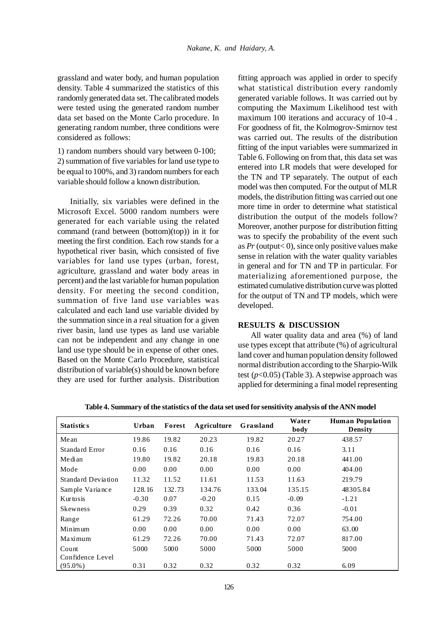grassland and water body, and human population density. Table 4 summarized the statistics of this randomly generated data set. The calibrated models were tested using the generated random number data set based on the Monte Carlo procedure. In generating random number, three conditions were considered as follows:

1) random numbers should vary between 0-100; 2) summation of five variables for land use type to be equal to 100%, and 3) random numbers for each variable should follow a known distribution.

Initially, six variables were defined in the Microsoft Excel. 5000 random numbers were generated for each variable using the related command (rand between (bottom)(top)) in it for meeting the first condition. Each row stands for a hypothetical river basin, which consisted of five variables for land use types (urban, forest, agriculture, grassland and water body areas in percent) and the last variable for human population density. For meeting the second condition, summation of five land use variables was calculated and each land use variable divided by the summation since in a real situation for a given river basin, land use types as land use variable can not be independent and any change in one land use type should be in expense of other ones. Based on the Monte Carlo Procedure, statistical distribution of variable(s) should be known before they are used for further analysis. Distribution

fitting approach was applied in order to specify what statistical distribution every randomly generated variable follows. It was carried out by computing the Maximum Likelihood test with maximum 100 iterations and accuracy of 10-4 . For goodness of fit, the Kolmogrov-Smirnov test was carried out. The results of the distribution fitting of the input variables were summarized in Table 6. Following on from that, this data set was entered into LR models that were developed for the TN and TP separately. The output of each model was then computed. For the output of MLR models, the distribution fitting was carried out one more time in order to determine what statistical distribution the output of the models follow? Moreover, another purpose for distribution fitting was to specify the probability of the event such as  $Pr$  (output< 0), since only positive values make sense in relation with the water quality variables in general and for TN and TP in particular. For materializing aforementioned purpose, the estimated cumulative distribution curve was plotted for the output of TN and TP models, which were developed.

## **RESULTS & DISCUSSION**

All water quality data and area (%) of land use types except that attribute (%) of agricultural land cover and human population density followed normal distribution according to the Sharpio-Wilk test (*p*<0.05) (Table 3). A stepwise approach was applied for determining a final model representing

| <b>Statistics</b>  | Urban   | Forest | Agriculture | Grassland | Water<br>body | <b>Human Population</b><br><b>Density</b> |
|--------------------|---------|--------|-------------|-----------|---------------|-------------------------------------------|
| Mean               | 19.86   | 19.82  | 20.23       | 19.82     | 20.27         | 438.57                                    |
| Standard Error     | 0.16    | 0.16   | 0.16        | 0.16      | 0.16          | 3.11                                      |
| Median             | 19.80   | 19.82  | 20.18       | 19.83     | 20.18         | 441.00                                    |
| Mode               | 0.00    | 0.00   | 0.00        | 0.00      | 0.00          | 404.00                                    |
| Standard Deviation | 11.32   | 11.52  | 11.61       | 11.53     | 11.63         | 219.79                                    |
| Sample Variance    | 128.16  | 132.73 | 134.76      | 133.04    | 135.15        | 48305.84                                  |
| Kurtosis           | $-0.30$ | 0.07   | $-0.20$     | 0.15      | $-0.09$       | $-1.21$                                   |
| <b>Skewness</b>    | 0.29    | 0.39   | 0.32        | 0.42      | 0.36          | $-0.01$                                   |
| Range              | 61.29   | 72.26  | 70.00       | 71.43     | 72.07         | 754.00                                    |
| Minimum            | 0.00    | 0.00   | 0.00        | 0.00      | 0.00          | 63.00                                     |
| Maximum            | 61.29   | 72.26  | 70.00       | 71.43     | 72.07         | 817.00                                    |
| Count              | 5000    | 5000   | 5000        | 5000      | 5000          | 5000                                      |
| Confidence Level   |         |        |             |           |               |                                           |
| $(95.0\%)$         | 0.31    | 0.32   | 0.32        | 0.32      | 0.32          | 6.09                                      |

**Table 4. Summary of the statistics of the data set used for sensitivity analysis of the ANN model**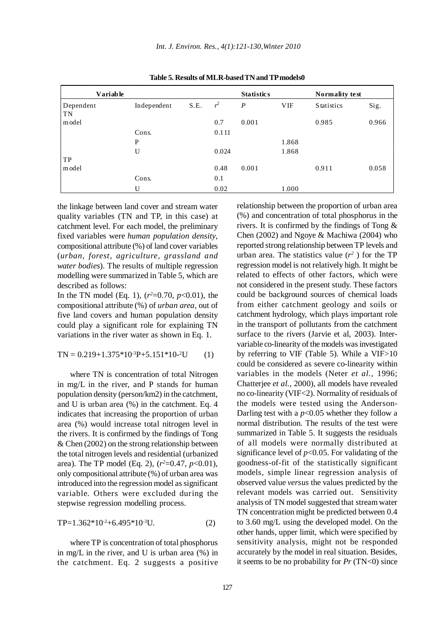| <b>Variable</b> |             |      |       | <b>Statistics</b> |            | <b>Normality test</b> |       |
|-----------------|-------------|------|-------|-------------------|------------|-----------------------|-------|
| Dependent       | Independent | S.E. | $r^2$ | $\boldsymbol{P}$  | <b>VIF</b> | <b>Statistics</b>     | Sig.  |
| <b>TN</b>       |             |      |       |                   |            |                       |       |
| model           |             |      | 0.7   | 0.001             |            | 0.985                 | 0.966 |
|                 | Cons.       |      | 0.111 |                   |            |                       |       |
|                 | P           |      |       |                   | 1.868      |                       |       |
|                 | U           |      | 0.024 |                   | 1.868      |                       |       |
| TP              |             |      |       |                   |            |                       |       |
| model           |             |      | 0.48  | 0.001             |            | 0.911                 | 0.058 |
|                 | Cons.       |      | 0.1   |                   |            |                       |       |
|                 | U           |      | 0.02  |                   | 1.000      |                       |       |

**Table 5. Results of MLR-based TN and TP models0**

the linkage between land cover and stream water quality variables (TN and TP, in this case) at catchment level. For each model, the preliminary fixed variables were *human population density*, compositional attribute (%) of land cover variables (*urban, forest, agriculture, grassland and water bodies*). The results of multiple regression modelling were summarized in Table 5, which are described as follows:

In the TN model (Eq. 1),  $(r^2=0.70, p<0.01)$ , the compositional attribute (%) of *urban area,* out of five land covers and human population density could play a significant role for explaining TN variations in the river water as shown in Eq. 1.

$$
TN = 0.219 + 1.375 * 10^{3}P + 5.151 * 10^{2}U
$$
 (1)

where TN is concentration of total Nitrogen in mg/L in the river, and P stands for human population density (person/km2) in the catchment, and U is urban area (%) in the catchment. Eq. 4 indicates that increasing the proportion of urban area (%) would increase total nitrogen level in the rivers. It is confirmed by the findings of Tong & Chen (2002) on the strong relationship between the total nitrogen levels and residential (urbanized area). The TP model (Eq. 2),  $(r^2=0.47, p<0.01)$ , only compositional attribute (%) of urban area was introduced into the regression model as significant variable. Others were excluded during the stepwise regression modelling process.

$$
TP=1.362*10-2+6.495*10-3U.
$$
 (2)

where TP is concentration of total phosphorus in mg/L in the river, and U is urban area (%) in the catchment. Eq. 2 suggests a positive relationship between the proportion of urban area (%) and concentration of total phosphorus in the rivers. It is confirmed by the findings of Tong & Chen (2002) and Ngoye & Machiwa (2004) who reported strong relationship between TP levels and urban area. The statistics value  $(r^2)$  for the TP regression model is not relatively high. It might be related to effects of other factors, which were not considered in the present study. These factors could be background sources of chemical loads from either catchment geology and soils or catchment hydrology, which plays important role in the transport of pollutants from the catchment surface to the rivers (Jarvie et al, 2003). Intervariable co-linearity of the models was investigated by referring to VIF (Table 5). While a VIF>10 could be considered as severe co-linearity within variables in the models (Neter *et al.,* 1996; Chatterjee *et al.,* 2000), all models have revealed no co-linearity (VIF<2). Normality of residuals of the models were tested using the Anderson-Darling test with a  $p<0.05$  whether they follow a normal distribution. The results of the test were summarized in Table 5. It suggests the residuals of all models were normally distributed at significance level of  $p<0.05$ . For validating of the goodness-of-fit of the statistically significant models, simple linear regression analysis of observed value *versus* the values predicted by the relevant models was carried out. Sensitivity analysis of TN model suggested that stream water TN concentration might be predicted between 0.4 to 3.60 mg/L using the developed model. On the other hands, upper limit, which were specified by sensitivity analysis, might not be responded accurately by the model in real situation. Besides, it seems to be no probability for  $Pr(TN<0)$  since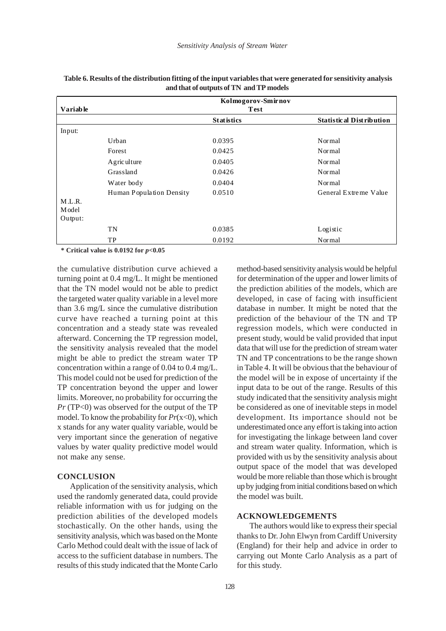|                 |                          | Kolmogorov-Smirnov |                                 |
|-----------------|--------------------------|--------------------|---------------------------------|
| <b>Variable</b> |                          | Test               |                                 |
|                 |                          | <b>Statistics</b>  | <b>Statistical Distribution</b> |
| Input:          |                          |                    |                                 |
|                 | Urban                    | 0.0395             | Normal                          |
|                 | Forest                   | 0.0425             | Normal                          |
|                 | Agriculture              | 0.0405             | Normal                          |
|                 | Grassland                | 0.0426             | Normal                          |
|                 | Water body               | 0.0404             | Normal                          |
|                 | Human Population Density | 0.0510             | General Extreme Value           |
| M.L.R.          |                          |                    |                                 |
| Model           |                          |                    |                                 |
| Output:         |                          |                    |                                 |
|                 | TN                       | 0.0385             | Logistic                        |
|                 | TP                       | 0.0192             | Normal                          |

| Table 6. Results of the distribution fitting of the input variables that were generated for sensitivity analysis |
|------------------------------------------------------------------------------------------------------------------|
| and that of outputs of TN and TP models                                                                          |

 **\* Critical value is 0.0192 for** *p***<0.05**

the cumulative distribution curve achieved a turning point at 0.4 mg/L. It might be mentioned that the TN model would not be able to predict the targeted water quality variable in a level more than 3.6 mg/L since the cumulative distribution curve have reached a turning point at this concentration and a steady state was revealed afterward. Concerning the TP regression model, the sensitivity analysis revealed that the model might be able to predict the stream water TP concentration within a range of 0.04 to 0.4 mg/L. This model could not be used for prediction of the TP concentration beyond the upper and lower limits. Moreover, no probability for occurring the *Pr* (TP<0) was observed for the output of the TP model. To know the probability for  $Pr(x<0)$ , which x stands for any water quality variable, would be very important since the generation of negative values by water quality predictive model would not make any sense.

#### **CONCLUSION**

Application of the sensitivity analysis, which used the randomly generated data, could provide reliable information with us for judging on the prediction abilities of the developed models stochastically. On the other hands, using the sensitivity analysis, which was based on the Monte Carlo Method could dealt with the issue of lack of access to the sufficient database in numbers. The results of this study indicated that the Monte Carlo

method-based sensitivity analysis would be helpful for determination of the upper and lower limits of the prediction abilities of the models, which are developed, in case of facing with insufficient database in number. It might be noted that the prediction of the behaviour of the TN and TP regression models, which were conducted in present study, would be valid provided that input data that will use for the prediction of stream water TN and TP concentrations to be the range shown in Table 4. It will be obvious that the behaviour of the model will be in expose of uncertainty if the input data to be out of the range. Results of this study indicated that the sensitivity analysis might be considered as one of inevitable steps in model development. Its importance should not be underestimated once any effort is taking into action for investigating the linkage between land cover and stream water quality. Information, which is provided with us by the sensitivity analysis about output space of the model that was developed would be more reliable than those which is brought up by judging from initial conditions based on which the model was built.

### **ACKNOWLEDGEMENTS**

The authors would like to express their special thanks to Dr. John Elwyn from Cardiff University (England) for their help and advice in order to carrying out Monte Carlo Analysis as a part of for this study.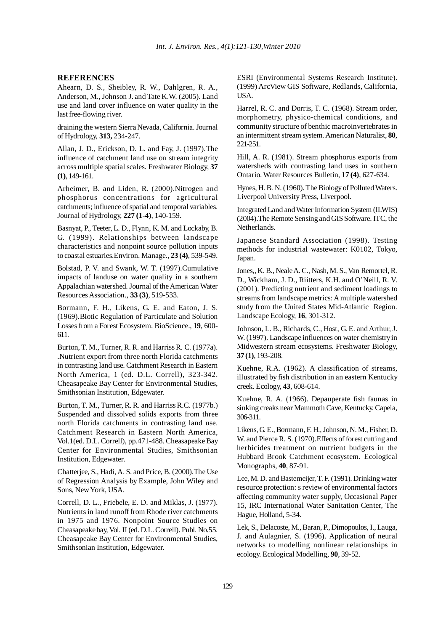#### **REFERENCES**

Ahearn, D. S., Sheibley, R. W., Dahlgren, R. A., Anderson, M., Johnson J. and Tate K.W. (2005). Land use and land cover influence on water quality in the last free-flowing river.

draining the western Sierra Nevada, California. Journal of Hydrology, **313,** 234-247.

Allan, J. D., Erickson, D. L. and Fay, J. (1997).The influence of catchment land use on stream integrity across multiple spatial scales. Freshwater Biology, **37 (1)**, 149-161.

Arheimer, B. and Liden, R. (2000).Nitrogen and phosphorus concentrations for agricultural catchments; influence of spatial and temporal variables. Journal of Hydrology, **227 (1-4)**, 140-159.

Basnyat, P., Teeter, L. D., Flynn, K. M. and Lockaby, B. G. (1999). Relationships between landscape characteristics and nonpoint source pollution inputs to coastal estuaries.Environ. Manage., **23 (4)**, 539-549.

Bolstad, P. V. and Swank, W. T. (1997).Cumulative impacts of landuse on water quality in a southern Appalachian watershed. Journal of the American Water Resources Association., **33 (3)**, 519-533.

Bormann, F. H., Likens, G. E. and Eaton, J. S. (1969).Biotic Regulation of Particulate and Solution Losses from a Forest Ecosystem. BioScience., **19**, 600- 611.

Burton, T. M., Turner, R. R. and Harriss R. C. (1977a). .Nutrient export from three north Florida catchments in contrasting land use. Catchment Research in Eastern North America, 1 (ed. D.L. Correll), 323-342. Cheasapeake Bay Center for Environmental Studies, Smithsonian Institution, Edgewater.

Burton, T. M., Turner, R. R. and Harriss R.C. (1977b.) Suspended and dissolved solids exports from three north Florida catchments in contrasting land use. Catchment Research in Eastern North America, Vol.1(ed. D.L. Correll), pp.471-488. Cheasapeake Bay Center for Environmental Studies, Smithsonian Institution, Edgewater.

Chatterjee, S., Hadi, A. S. and Price, B. (2000).The Use of Regression Analysis by Example, John Wiley and Sons, New York, USA.

Correll, D. L., Friebele, E. D. and Miklas, J. (1977). Nutrients in land runoff from Rhode river catchments in 1975 and 1976. Nonpoint Source Studies on Cheasapeake bay, Vol. II (ed. D.L. Correll). Publ. No.55. Cheasapeake Bay Center for Environmental Studies, Smithsonian Institution, Edgewater.

ESRI (Environmental Systems Research Institute). (1999) ArcView GIS Software, Redlands, California, USA.

Harrel, R. C. and Dorris, T. C. (1968). Stream order, morphometry, physico-chemical conditions, and community structure of benthic macroinvertebrates in an intermittent stream system. American Naturalist, **80**, 221-251.

Hill, A. R. (1981). Stream phosphorus exports from watersheds with contrasting land uses in southern Ontario. Water Resources Bulletin, **17 (4)**, 627-634.

Hynes, H. B. N. (1960). The Biology of Polluted Waters. Liverpool University Press, Liverpool.

Integrated Land and Water Information System (ILWIS) (2004).The Remote Sensing and GIS Software. ITC, the Netherlands.

Japanese Standard Association (1998). Testing methods for industrial wastewater: K0102, Tokyo, Japan.

Jones,, K. B., Neale A. C., Nash, M. S., Van Remortel, R. D., Wickham, J. D., Riitters, K.H. and O'Neill, R. V. (2001). Predicting nutrient and sediment loadings to streams from landscape metrics: A multiple watershed study from the United States Mid-Atlantic Region. Landscape Ecology, **16**, 301-312.

Johnson, L. B., Richards, C., Host, G. E. and Arthur, J. W. (1997). Landscape influences on water chemistry in Midwestern stream ecosystems. Freshwater Biology, **37 (1)**, 193-208.

Kuehne, R.A. (1962). A classification of streams, illustrated by fish distribution in an eastern Kentucky creek. Ecology, **43**, 608-614.

Kuehne, R. A. (1966). Depauperate fish faunas in sinking creaks near Mammoth Cave, Kentucky. Capeia, 306-311.

Likens, G. E., Bormann, F. H., Johnson, N. M., Fisher, D. W. and Pierce R. S. (1970).Effects of forest cutting and herbicides treatment on nutrient budgets in the Hubbard Brook Catchment ecosystem. Ecological Monographs, **40**, 87-91.

Lee, M. D. and Bastemeijer, T. F. (1991). Drinking water resource protection: s review of environmental factors affecting community water supply, Occasional Paper 15, IRC International Water Sanitation Center, The Hague, Holland, 5-34.

Lek, S., Delacoste, M., Baran, P., Dimopoulos, I., Lauga, J. and Aulagnier, S. (1996). Application of neural networks to modelling nonlinear relationships in ecology. Ecological Modelling, **90**, 39-52.